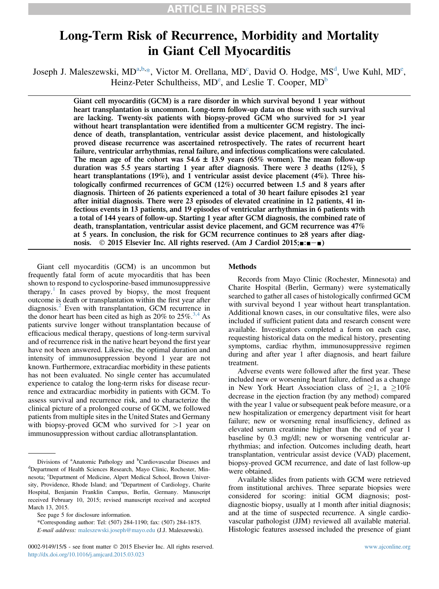# Long-Term Risk of Recurrence, Morbidity and Mortality in Giant Cell Myocarditis

Joseph J. Maleszewski, MD<sup>a,b,\*</sup>, Victor M. Orellana, MD<sup>c</sup>, David O. Hodge, MS<sup>d</sup>, Uwe Kuhl, MD<sup>e</sup>, Heinz-Peter Schultheiss, MD<sup>e</sup>, and Leslie T. Cooper, MD<sup>b</sup>

> Giant cell myocarditis (GCM) is a rare disorder in which survival beyond 1 year without heart transplantation is uncommon. Long-term follow-up data on those with such survival are lacking. Twenty-six patients with biopsy-proved GCM who survived for >1 year without heart transplantation were identified from a multicenter GCM registry. The incidence of death, transplantation, ventricular assist device placement, and histologically proved disease recurrence was ascertained retrospectively. The rates of recurrent heart failure, ventricular arrhythmias, renal failure, and infectious complications were calculated. The mean age of the cohort was  $54.6 \pm 13.9$  years (65% women). The mean follow-up duration was 5.5 years starting 1 year after diagnosis. There were 3 deaths (12%), 5 heart transplantations (19%), and 1 ventricular assist device placement (4%). Three histologically confirmed recurrences of GCM (12%) occurred between 1.5 and 8 years after diagnosis. Thirteen of 26 patients experienced a total of 30 heart failure episodes  $\geq 1$  year after initial diagnosis. There were 23 episodes of elevated creatinine in 12 patients, 41 infectious events in 13 patients, and 19 episodes of ventricular arrhythmias in 6 patients with a total of 144 years of follow-up. Starting 1 year after GCM diagnosis, the combined rate of death, transplantation, ventricular assist device placement, and GCM recurrence was 47% at 5 years. In conclusion, the risk for GCM recurrence continues to  $\geq 8$  years after diagnosis.  $\circ$  2015 Elsevier Inc. All rights reserved. (Am J Cardiol 2015; $\blacksquare$ : $\blacksquare$

Giant cell myocarditis (GCM) is an uncommon but frequently fatal form of acute myocarditis that has been shown to respond to cyclosporine-based immunosuppressive therapy.<sup>[1](#page-5-0)</sup> In cases proved by biopsy, the most frequent outcome is death or transplantation within the first year after diagnosis.<sup>[2](#page-5-0)</sup> Even with transplantation, GCM recurrence in the donor heart has been cited as high as  $20\%$  to  $25\%$ .<sup>[3,4](#page-5-0)</sup> As patients survive longer without transplantation because of efficacious medical therapy, questions of long-term survival and of recurrence risk in the native heart beyond the first year have not been answered. Likewise, the optimal duration and intensity of immunosuppression beyond 1 year are not known. Furthermore, extracardiac morbidity in these patients has not been evaluated. No single center has accumulated experience to catalog the long-term risks for disease recurrence and extracardiac morbidity in patients with GCM. To assess survival and recurrence risk, and to characterize the clinical picture of a prolonged course of GCM, we followed patients from multiple sites in the United States and Germany with biopsy-proved GCM who survived for  $>1$  year on immunosuppression without cardiac allotransplantation.

#### 0002-9149/15/\$ - see front matter  $\oslash$  2015 Elsevier Inc. All rights reserved. [www.ajconline.org](http://www.ajconline.org) <http://dx.doi.org/10.1016/j.amjcard.2015.03.023>

### Methods

Records from Mayo Clinic (Rochester, Minnesota) and Charite Hospital (Berlin, Germany) were systematically searched to gather all cases of histologically confirmed GCM with survival beyond 1 year without heart transplantation. Additional known cases, in our consultative files, were also included if sufficient patient data and research consent were available. Investigators completed a form on each case, requesting historical data on the medical history, presenting symptoms, cardiac rhythm, immunosuppressive regimen during and after year 1 after diagnosis, and heart failure treatment.

Adverse events were followed after the first year. These included new or worsening heart failure, defined as a change in New York Heart Association class of  $\geq 1$ , a  $\geq 10\%$ decrease in the ejection fraction (by any method) compared with the year 1 value or subsequent peak before measure, or a new hospitalization or emergency department visit for heart failure; new or worsening renal insufficiency, defined as elevated serum creatinine higher than the end of year 1 baseline by 0.3 mg/dl; new or worsening ventricular arrhythmias; and infection. Outcomes including death, heart transplantation, ventricular assist device (VAD) placement, biopsy-proved GCM recurrence, and date of last follow-up were obtained.

Available slides from patients with GCM were retrieved from institutional archives. Three separate biopsies were considered for scoring: initial GCM diagnosis; postdiagnostic biopsy, usually at 1 month after initial diagnosis; and at the time of suspected recurrence. A single cardiovascular pathologist (JJM) reviewed all available material. Histologic features assessed included the presence of giant

Divisions of <sup>a</sup>Anatomic Pathology and <sup>b</sup>Cardiovascular Diseases and <sup>d</sup>Department of Health Sciences Pesearch Mayo Clinic Pochester Min Department of Health Sciences Research, Mayo Clinic, Rochester, Minnesota; <sup>c</sup>Department of Medicine, Alpert Medical School, Brown University, Providence, Rhode Island; and <sup>e</sup>Department of Cardiology, Charite Hospital, Benjamin Franklin Campus, Berlin, Germany. Manuscript received February 10, 2015; revised manuscript received and accepted March 13, 2015.

See page 5 for disclosure information.

<sup>\*</sup>Corresponding author: Tel: (507) 284-1190; fax: (507) 284-1875. E-mail address: [maleszewski.joseph@mayo.edu](mailto:maleszewski.joseph@mayo.edu) (J.J. Maleszewski).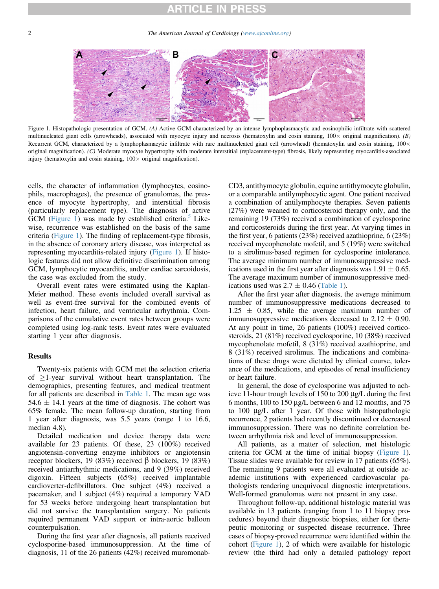2 The American Journal of Cardiology [\(www.ajconline.org](http://www.ajconline.org))



Figure 1. Histopathologic presentation of GCM. (A) Active GCM characterized by an intense lymphoplasmacytic and eosinophilic infiltrate with scattered multinucleated giant cells (arrowheads), associated with myocyte injury and necrosis (hematoxylin and eosin staining,  $100 \times$  original magnification). (B) Recurrent GCM, characterized by a lymphoplasmacytic infiltrate with rare multinucleated giant cell (arrowhead) (hematoxylin and eosin staining,  $100\times$ original magnification). (C) Moderate myocyte hypertrophy with moderate interstitial (replacement-type) fibrosis, likely representing myocarditis-associated injury (hematoxylin and eosin staining,  $100 \times$  original magnification).

cells, the character of inflammation (lymphocytes, eosinophils, macrophages), the presence of granulomas, the presence of myocyte hypertrophy, and interstitial fibrosis (particularly replacement type). The diagnosis of active GCM (Figure 1) was made by established criteria. $5$  Likewise, recurrence was established on the basis of the same criteria (Figure 1). The finding of replacement-type fibrosis, in the absence of coronary artery disease, was interpreted as representing myocarditis-related injury (Figure 1). If histologic features did not allow definitive discrimination among GCM, lymphocytic myocarditis, and/or cardiac sarcoidosis, the case was excluded from the study.

Overall event rates were estimated using the Kaplan-Meier method. These events included overall survival as well as event-free survival for the combined events of infection, heart failure, and ventricular arrhythmia. Comparisons of the cumulative event rates between groups were completed using log-rank tests. Event rates were evaluated starting 1 year after diagnosis.

### Results

Twenty-six patients with GCM met the selection criteria of  $\geq$ 1-year survival without heart transplantation. The demographics, presenting features, and medical treatment for all patients are described in [Table 1](#page-2-0). The mean age was 54.6  $\pm$  14.1 years at the time of diagnosis. The cohort was 65% female. The mean follow-up duration, starting from 1 year after diagnosis, was 5.5 years (range 1 to 16.6, median 4.8).

Detailed medication and device therapy data were available for 23 patients. Of these, 23 (100%) received angiotensin-converting enzyme inhibitors or angiotensin receptor blockers, 19 (83%) received  $\beta$  blockers, 19 (83%) received antiarrhythmic medications, and 9 (39%) received digoxin. Fifteen subjects (65%) received implantable cardioverter-defibrillators. One subject (4%) received a pacemaker, and 1 subject (4%) required a temporary VAD for 53 weeks before undergoing heart transplantation but did not survive the transplantation surgery. No patients required permanent VAD support or intra-aortic balloon counterpulsation.

During the first year after diagnosis, all patients received cyclosporine-based immunosuppression. At the time of diagnosis, 11 of the 26 patients (42%) received muromonabCD3, antithymocyte globulin, equine antithymocyte globulin, or a comparable antilymphocytic agent. One patient received a combination of antilymphocyte therapies. Seven patients (27%) were weaned to corticosteroid therapy only, and the remaining 19 (73%) received a combination of cyclosporine and corticosteroids during the first year. At varying times in the first year, 6 patients (23%) received azathioprine, 6 (23%) received mycophenolate mofetil, and 5 (19%) were switched to a sirolimus-based regimen for cyclosporine intolerance. The average minimum number of immunosuppressive medications used in the first year after diagnosis was  $1.91 \pm 0.65$ . The average maximum number of immunosuppressive medications used was  $2.7 \pm 0.46$  ([Table 1\)](#page-2-0).

After the first year after diagnosis, the average minimum number of immunosuppressive medications decreased to  $1.25 \pm 0.85$ , while the average maximum number of immunosuppressive medications decreased to  $2.12 \pm 0.90$ . At any point in time, 26 patients (100%) received corticosteroids, 21 (81%) received cyclosporine, 10 (38%) received mycophenolate mofetil, 8 (31%) received azathioprine, and 8 (31%) received sirolimus. The indications and combinations of these drugs were dictated by clinical course, tolerance of the medications, and episodes of renal insufficiency or heart failure.

In general, the dose of cyclosporine was adjusted to achieve 11-hour trough levels of 150 to 200  $\mu$ g/L during the first 6 months, 100 to 150  $\mu$ g/L between 6 and 12 months, and 75 to 100 mg/L after 1 year. Of those with histopathologic recurrence, 2 patients had recently discontinued or decreased immunosuppression. There was no definite correlation between arrhythmia risk and level of immunosuppression.

All patients, as a matter of selection, met histologic criteria for GCM at the time of initial biopsy (Figure 1). Tissue slides were available for review in 17 patients (65%). The remaining 9 patients were all evaluated at outside academic institutions with experienced cardiovascular pathologists rendering unequivocal diagnostic interpretations. Well-formed granulomas were not present in any case.

Throughout follow-up, additional histologic material was available in 13 patients (ranging from 1 to 11 biopsy procedures) beyond their diagnostic biopsies, either for therapeutic monitoring or suspected disease recurrence. Three cases of biopsy-proved recurrence were identified within the cohort (Figure 1), 2 of which were available for histologic review (the third had only a detailed pathology report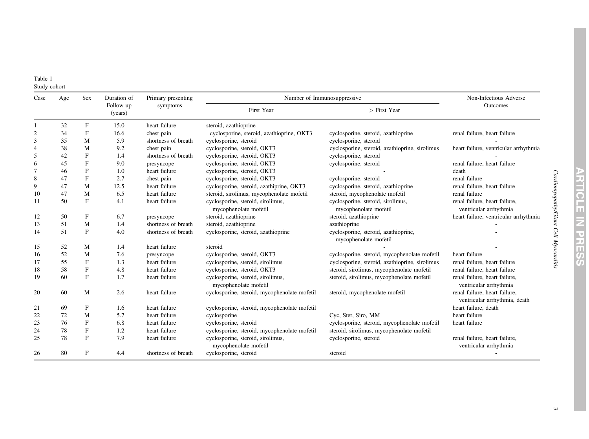<span id="page-2-0"></span>

| Table 1 |              |
|---------|--------------|
|         | Study cohort |

| Case            | Age | <b>Sex</b>                | Duration of<br>Follow-up<br>(years) | Primary presenting<br>symptoms | Number of Immunosuppressive                                |                                                               | Non-Infectious Adverse                                         |
|-----------------|-----|---------------------------|-------------------------------------|--------------------------------|------------------------------------------------------------|---------------------------------------------------------------|----------------------------------------------------------------|
|                 |     |                           |                                     |                                | First Year                                                 | > First Year                                                  | Outcomes                                                       |
|                 | 32  | F                         | 15.0                                | heart failure                  | steroid, azathioprine                                      |                                                               |                                                                |
| $\overline{c}$  | 34  | $\boldsymbol{\mathrm{F}}$ | 16.6                                | chest pain                     | cyclosporine, steroid, azathioprine, OKT3                  | cyclosporine, steroid, azathioprine                           | renal failure, heart failure                                   |
| $\mathfrak{Z}$  | 35  | M                         | 5.9                                 | shortness of breath            | cyclosporine, steroid                                      | cyclosporine, steroid                                         |                                                                |
| $\overline{4}$  | 38  | M                         | 9.2                                 | chest pain                     | cyclosporine, steroid, OKT3                                | cyclosporine, steroid, azathioprine, sirolimus                | heart failure, ventricular arrhythmia                          |
| 5               | 42  | $\boldsymbol{\mathrm{F}}$ | 1.4                                 | shortness of breath            | cyclosporine, steroid, OKT3                                | cyclosporine, steroid                                         |                                                                |
| 6               | 45  | $\boldsymbol{\mathrm{F}}$ | 9.0                                 | presyncope                     | cyclosporine, steroid, OKT3                                | cyclosporine, steroid                                         | renal failure, heart failure                                   |
| $7\phantom{.0}$ | 46  | $\mathbf F$               | 1.0                                 | heart failure                  | cyclosporine, steroid, OKT3                                |                                                               | death                                                          |
| 8               | 47  | $\mathbf F$               | 2.7                                 | chest pain                     | cyclosporine, steroid, OKT3                                | cyclosporine, steroid                                         | renal failure                                                  |
| 9               | 47  | M                         | 12.5                                | heart failure                  | cyclosporine, steroid, azathiprine, OKT3                   | cyclosporine, steroid, azathioprine                           | renal failure, heart failure                                   |
| 10              | 47  | M                         | 6.5                                 | heart failure                  | steroid, sirolimus, mycophenolate mofetil                  | steroid, mycophenolate mofetil                                | renal failure                                                  |
| 11              | 50  | $\mathbf F$               | 4.1                                 | heart failure                  | cyclosporine, steroid, sirolimus,<br>mycophenolate mofetil | cyclosporine, steroid, sirolimus,<br>mycophenolate mofetil    | renal failure, heart failure,<br>ventricular arrhythmia        |
| 12              | 50  | $_{\rm F}$                | 6.7                                 | presyncope                     | steroid, azathioprine                                      | steroid, azathioprine                                         | heart failure, ventricular arrhythmia                          |
| 13              | 51  | M                         | 1.4                                 | shortness of breath            | steroid, azathioprine                                      | azathioprine                                                  |                                                                |
| 14              | 51  | F                         | 4.0                                 | shortness of breath            | cyclosporine, steroid, azathioprine                        | cyclosporine, steroid, azathioprine,<br>mycophenolate mofetil |                                                                |
| 15              | 52  | M                         | 1.4                                 | heart failure                  | steroid                                                    |                                                               |                                                                |
| 16              | 52  | M                         | 7.6                                 | presyncope                     | cyclosporine, steroid, OKT3                                | cyclosporine, steroid, mycophenolate mofetil                  | heart failure                                                  |
| 17              | 55  | $\boldsymbol{\mathrm{F}}$ | 1.3                                 | heart failure                  | cyclosporine, steroid, sirolimus                           | cyclosporine, steroid, azathioprine, sirolimus                | renal failure, heart failure                                   |
| 18              | 58  | $\mathbf F$               | 4.8                                 | heart failure                  | cyclosporine, steroid, OKT3                                | steroid, sirolimus, mycophenolate mofetil                     | renal failure, heart failure                                   |
| 19              | 60  | $\mathbf F$               | 1.7                                 | heart failure                  | cyclosporine, steroid, sirolimus,<br>mycophenolate mofetil | steroid, sirolimus, mycophenolate mofetil                     | renal failure, heart failure,<br>ventricular arrhythmia        |
| 20              | 60  | M                         | 2.6                                 | heart failure                  | cyclosporine, steroid, mycophenolate mofetil               | steroid, mycophenolate mofetil                                | renal failure, heart failure,<br>ventricular arrhythmia, death |
| 21              | 69  | F                         | 1.6                                 | heart failure                  | cyclosporine, steroid, mycophenolate mofetil               |                                                               | heart failure, death                                           |
| 22              | 72  | M                         | 5.7                                 | heart failure                  | cyclosporine                                               | Cyc, Ster, Siro, MM                                           | heart failure                                                  |
| 23              | 76  | $\mathbf F$               | 6.8                                 | heart failure                  | cyclosporine, steroid                                      | cyclosporine, steroid, mycophenolate mofetil                  | heart failure                                                  |
| 24              | 78  | $\boldsymbol{\mathrm{F}}$ | 1.2                                 | heart failure                  | cyclosporine, steroid, mycophenolate mofetil               | steroid, sirolimus, mycophenolate mofetil                     |                                                                |
| 25              | 78  | F                         | 7.9                                 | heart failure                  | cyclosporine, steroid, sirolimus,<br>mycophenolate mofetil | cyclosporine, steroid                                         | renal failure, heart failure,<br>ventricular arrhythmia        |
| 26              | 80  | F                         | 4.4                                 | shortness of breath            | cyclosporine, steroid                                      | steroid                                                       |                                                                |

Cardiomyopathy/Giant Cell Myocarditis

Cardiomyopathy/Giant Cell Myocarditis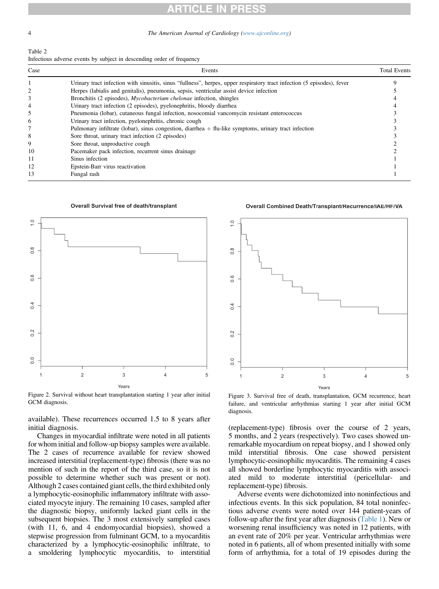<span id="page-3-0"></span>

#### The American Journal of Cardiology [\(www.ajconline.org](http://www.ajconline.org))

Table 2 Infectious adverse events by subject in descending order of frequency

| Case | Events                                                                                                                  | <b>Total Events</b> |
|------|-------------------------------------------------------------------------------------------------------------------------|---------------------|
|      | Urinary tract infection with sinusitis, sinus "fullness", herpes, upper respiratory tract infection (5 episodes), fever |                     |
|      | Herpes (labialis and genitalis), pneumonia, sepsis, ventricular assist device infection                                 |                     |
|      | Bronchitis (2 episodes), Mycobacterium chelonae infection, shingles                                                     |                     |
|      | Urinary tract infection (2 episodes), pyelonephritis, bloody diarrhea                                                   |                     |
|      | Pneumonia (lobar), cutaneous fungal infection, nosocomial vancomycin resistant enterococcus                             |                     |
| 6    | Urinary tract infection, pyelonephritis, chronic cough                                                                  |                     |
|      | Pulmonary infiltrate (lobar), sinus congestion, diarrhea $+$ flu-like symptoms, urinary tract infection                 |                     |
| 8    | Sore throat, urinary tract infection (2 episodes)                                                                       |                     |
| 9    | Sore throat, unproductive cough                                                                                         |                     |
| 10   | Pacemaker pack infection, recurrent sinus drainage                                                                      |                     |
| 11   | Sinus infection                                                                                                         |                     |
| 12   | Epstein-Barr virus reactivation                                                                                         |                     |
| 13   | Fungal rash                                                                                                             |                     |





Figure 2. Survival without heart transplantation starting 1 year after initial GCM diagnosis.

available). These recurrences occurred 1.5 to 8 years after initial diagnosis.

Changes in myocardial infiltrate were noted in all patients for whom initial and follow-up biopsy samples were available. The 2 cases of recurrence available for review showed increased interstitial (replacement-type) fibrosis (there was no mention of such in the report of the third case, so it is not possible to determine whether such was present or not). Although 2 cases contained giant cells, the third exhibited only a lymphocytic-eosinophilic inflammatory infiltrate with associated myocyte injury. The remaining 10 cases, sampled after the diagnostic biopsy, uniformly lacked giant cells in the subsequent biopsies. The 3 most extensively sampled cases (with 11, 6, and 4 endomyocardial biopsies), showed a stepwise progression from fulminant GCM, to a myocarditis characterized by a lymphocytic-eosinophilic infiltrate, to a smoldering lymphocytic myocarditis, to interstitial

 $\overline{a}$ 0.0 0.2 0.4 0.6 0.8 1.0  $0.\overline{8}$  $0.6$  $0.4$  $0.2$  $0.0$ 1 2 3 4 5 Years

**Overall Combined Death/Transplant/Recurrence/IAE/HF/VA**

Figure 3. Survival free of death, transplantation, GCM recurrence, heart failure, and ventricular arrhythmias starting 1 year after initial GCM diagnosis.

(replacement-type) fibrosis over the course of 2 years, 5 months, and 2 years (respectively). Two cases showed unremarkable myocardium on repeat biopsy, and 1 showed only mild interstitial fibrosis. One case showed persistent lymphocytic-eosinophilic myocarditis. The remaining 4 cases all showed borderline lymphocytic myocarditis with associated mild to moderate interstitial (pericellular- and replacement-type) fibrosis.

Adverse events were dichotomized into noninfectious and infectious events. In this sick population, 84 total noninfectious adverse events were noted over 144 patient-years of follow-up after the first year after diagnosis [\(Table 1](#page-2-0)). New or worsening renal insufficiency was noted in 12 patients, with an event rate of 20% per year. Ventricular arrhythmias were noted in 6 patients, all of whom presented initially with some form of arrhythmia, for a total of 19 episodes during the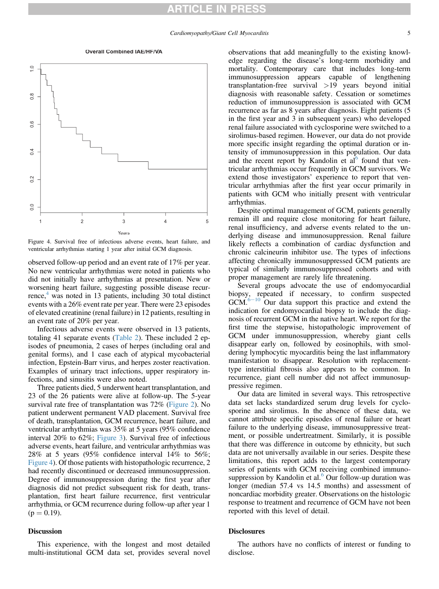

#### **Overall Combined IAE/HF/VA**

Figure 4. Survival free of infectious adverse events, heart failure, and ventricular arrhythmias starting 1 year after initial GCM diagnosis.

observed follow-up period and an event rate of 17% per year. No new ventricular arrhythmias were noted in patients who did not initially have arrhythmias at presentation. New or worsening heart failure, suggesting possible disease recurrence, $4\pi$  was noted in 13 patients, including 30 total distinct events with a 26% event rate per year. There were 23 episodes of elevated creatinine (renal failure) in 12 patients, resulting in an event rate of 20% per year.

Infectious adverse events were observed in 13 patients, totaling 41 separate events [\(Table 2\)](#page-3-0). These included 2 episodes of pneumonia, 2 cases of herpes (including oral and genital forms), and 1 case each of atypical mycobacterial infection, Epstein-Barr virus, and herpes zoster reactivation. Examples of urinary tract infections, upper respiratory infections, and sinusitis were also noted.

Three patients died, 5 underwent heart transplantation, and 23 of the 26 patients were alive at follow-up. The 5-year survival rate free of transplantation was 72% ([Figure 2](#page-3-0)). No patient underwent permanent VAD placement. Survival free of death, transplantation, GCM recurrence, heart failure, and ventricular arrhythmias was 35% at 5 years (95% confidence interval 20% to 62%; [Figure 3](#page-3-0)). Survival free of infectious adverse events, heart failure, and ventricular arrhythmias was 28% at 5 years (95% confidence interval  $14\%$  to 56%; Figure 4). Of those patients with histopathologic recurrence, 2 had recently discontinued or decreased immunosuppression. Degree of immunosuppression during the first year after diagnosis did not predict subsequent risk for death, transplantation, first heart failure recurrence, first ventricular arrhythmia, or GCM recurrence during follow-up after year 1  $(p = 0.19)$ .

### Discussion

This experience, with the longest and most detailed multi-institutional GCM data set, provides several novel observations that add meaningfully to the existing knowledge regarding the disease's long-term morbidity and mortality. Contemporary care that includes long-term immunosuppression appears capable of lengthening transplantation-free survival >19 years beyond initial diagnosis with reasonable safety. Cessation or sometimes reduction of immunosuppression is associated with GCM recurrence as far as 8 years after diagnosis. Eight patients (5 in the first year and 3 in subsequent years) who developed renal failure associated with cyclosporine were switched to a sirolimus-based regimen. However, our data do not provide more specific insight regarding the optimal duration or intensity of immunosuppression in this population. Our data and the recent report by Kandolin et  $al<sup>6</sup>$  $al<sup>6</sup>$  $al<sup>6</sup>$  found that ventricular arrhythmias occur frequently in GCM survivors. We extend those investigators' experience to report that ventricular arrhythmias after the first year occur primarily in patients with GCM who initially present with ventricular arrhythmias.

Despite optimal management of GCM, patients generally remain ill and require close monitoring for heart failure, renal insufficiency, and adverse events related to the underlying disease and immunosuppression. Renal failure likely reflects a combination of cardiac dysfunction and chronic calcineurin inhibitor use. The types of infections affecting chronically immunosuppressed GCM patients are typical of similarly immunosuppressed cohorts and with proper management are rarely life threatening.

Several groups advocate the use of endomyocardial biopsy, repeated if necessary, to confirm suspected  $GCM$ .<sup>[6](#page-5-0)–[10](#page-5-0)</sup> Our data support this practice and extend the indication for endomyocardial biopsy to include the diagnosis of recurrent GCM in the native heart. We report for the first time the stepwise, histopathologic improvement of GCM under immunosuppression, whereby giant cells disappear early on, followed by eosinophils, with smoldering lymphocytic myocarditis being the last inflammatory manifestation to disappear. Resolution with replacementtype interstitial fibrosis also appears to be common. In recurrence, giant cell number did not affect immunosuppressive regimen.

Our data are limited in several ways. This retrospective data set lacks standardized serum drug levels for cyclosporine and sirolimus. In the absence of these data, we cannot attribute specific episodes of renal failure or heart failure to the underlying disease, immunosuppressive treatment, or possible undertreatment. Similarly, it is possible that there was difference in outcome by ethnicity, but such data are not universally available in our series. Despite these limitations, this report adds to the largest contemporary series of patients with GCM receiving combined immuno-suppression by Kandolin et al.<sup>[6](#page-5-0)</sup> Our follow-up duration was longer (median 57.4 vs 14.5 months) and assessment of noncardiac morbidity greater. Observations on the histologic response to treatment and recurrence of GCM have not been reported with this level of detail.

### **Disclosures**

The authors have no conflicts of interest or funding to disclose.